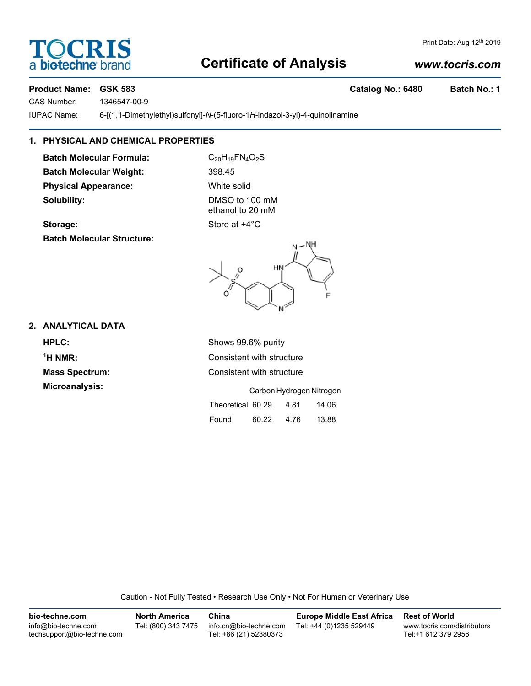# **Certificate of Analysis**

# *www.tocris.com*

## **Product Name: GSK 583 Catalog No.: 6480 Batch No.: 1**

CAS Number: 1346547-00-9

IUPAC Name: 6-[(1,1-Dimethylethyl)sulfonyl]-*N*-(5-fluoro-1*H*-indazol-3-yl)-4-quinolinamine

# **1. PHYSICAL AND CHEMICAL PROPERTIES**

**Batch Molecular Formula:** C<sub>20</sub>H<sub>19</sub>FN<sub>4</sub>O<sub>2</sub>S **Batch Molecular Weight:** 398.45 **Physical Appearance:** White solid **Solubility:** DMSO to 100 mM

ethanol to 20 mM

# **2. ANALYTICAL DATA**

 $<sup>1</sup>H NMR$ </sup>

**Consistent with structure** 

**Microanalysis:** Carbon Hydrogen Nitrogen Theoretical 60.29 4.81 14.06 Found 60.22 4.76 13.88

Caution - Not Fully Tested • Research Use Only • Not For Human or Veterinary Use

| bio-techne.com                                    | <b>North America</b> | China                                            | <b>Europe Middle East Africa</b> | <b>Rest of World</b>                               |
|---------------------------------------------------|----------------------|--------------------------------------------------|----------------------------------|----------------------------------------------------|
| info@bio-techne.com<br>techsupport@bio-techne.com | Tel: (800) 343 7475  | info.cn@bio-techne.com<br>Tel: +86 (21) 52380373 | Tel: +44 (0)1235 529449          | www.tocris.com/distributors<br>Tel:+1 612 379 2956 |

**Mass Spectrum:** Consistent with structure

**Storage:** Store at  $+4^{\circ}$ C **Batch Molecular Structure:**